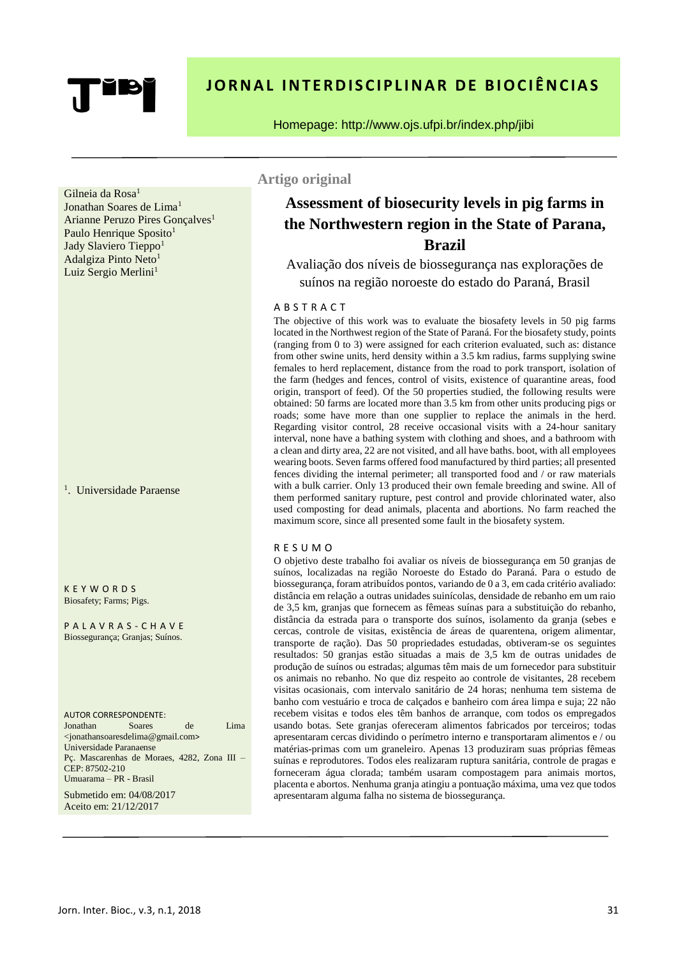# **JORNAL INTERDISCIPLINAR DE BIOCIÊNCIAS**

#### Homepage: http://www.ojs.ufpi.br/index.php/jibi

Gilneia da Rosa<sup>1</sup>

Jonathan Soares de Lima<sup>1</sup> Arianne Peruzo Pires Gonçalves<sup>1</sup> Paulo Henrique Sposito<sup>1</sup> Jady Slaviero Tieppo<sup>1</sup> Adalgiza Pinto Neto<sup>1</sup> Luiz Sergio Merlini<sup>1</sup>

<sup>1</sup>. Universidade Paraense

K E Y W O R D S Biosafety; Farms; Pigs.

P A L A V R A S - C H A V E Biossegurança; Granjas; Suínos.

AUTOR CORRESPONDENTE:

Jonathan Soares de Lima <jonathansoaresdelima@gmail.com> Universidade Paranaense Pç. Mascarenhas de Moraes, 4282, Zona III – CEP: 87502-210 Umuarama – PR - Brasil

Submetido em: 04/08/2017 Aceito em: 21/12/2017

## **Artigo original**

# **Assessment of biosecurity levels in pig farms in the Northwestern region in the State of Parana, Brazil**

Avaliação dos níveis de biossegurança nas explorações de suínos na região noroeste do estado do Paraná, Brasil

#### A B S T R A C T

The objective of this work was to evaluate the biosafety levels in 50 pig farms located in the Northwest region of the State of Paraná. For the biosafety study, points (ranging from 0 to 3) were assigned for each criterion evaluated, such as: distance from other swine units, herd density within a 3.5 km radius, farms supplying swine females to herd replacement, distance from the road to pork transport, isolation of the farm (hedges and fences, control of visits, existence of quarantine areas, food origin, transport of feed). Of the 50 properties studied, the following results were obtained: 50 farms are located more than 3.5 km from other units producing pigs or roads; some have more than one supplier to replace the animals in the herd. Regarding visitor control, 28 receive occasional visits with a 24-hour sanitary interval, none have a bathing system with clothing and shoes, and a bathroom with a clean and dirty area, 22 are not visited, and all have baths. boot, with all employees wearing boots. Seven farms offered food manufactured by third parties; all presented fences dividing the internal perimeter; all transported food and / or raw materials with a bulk carrier. Only 13 produced their own female breeding and swine. All of them performed sanitary rupture, pest control and provide chlorinated water, also used composting for dead animals, placenta and abortions. No farm reached the maximum score, since all presented some fault in the biosafety system.

#### R E S U M O

O objetivo deste trabalho foi avaliar os níveis de biossegurança em 50 granjas de suínos, localizadas na região Noroeste do Estado do Paraná. Para o estudo de biossegurança, foram atribuídos pontos, variando de 0 a 3, em cada critério avaliado: distância em relação a outras unidades suinícolas, densidade de rebanho em um raio de 3,5 km, granjas que fornecem as fêmeas suínas para a substituição do rebanho, distância da estrada para o transporte dos suínos, isolamento da granja (sebes e cercas, controle de visitas, existência de áreas de quarentena, origem alimentar, transporte de ração). Das 50 propriedades estudadas, obtiveram-se os seguintes resultados: 50 granjas estão situadas a mais de 3,5 km de outras unidades de produção de suínos ou estradas; algumas têm mais de um fornecedor para substituir os animais no rebanho. No que diz respeito ao controle de visitantes, 28 recebem visitas ocasionais, com intervalo sanitário de 24 horas; nenhuma tem sistema de banho com vestuário e troca de calçados e banheiro com área limpa e suja; 22 não recebem visitas e todos eles têm banhos de arranque, com todos os empregados usando botas. Sete granjas ofereceram alimentos fabricados por terceiros; todas apresentaram cercas dividindo o perímetro interno e transportaram alimentos e / ou matérias-primas com um graneleiro. Apenas 13 produziram suas próprias fêmeas suínas e reprodutores. Todos eles realizaram ruptura sanitária, controle de pragas e forneceram água clorada; também usaram compostagem para animais mortos, placenta e abortos. Nenhuma granja atingiu a pontuação máxima, uma vez que todos apresentaram alguma falha no sistema de biossegurança.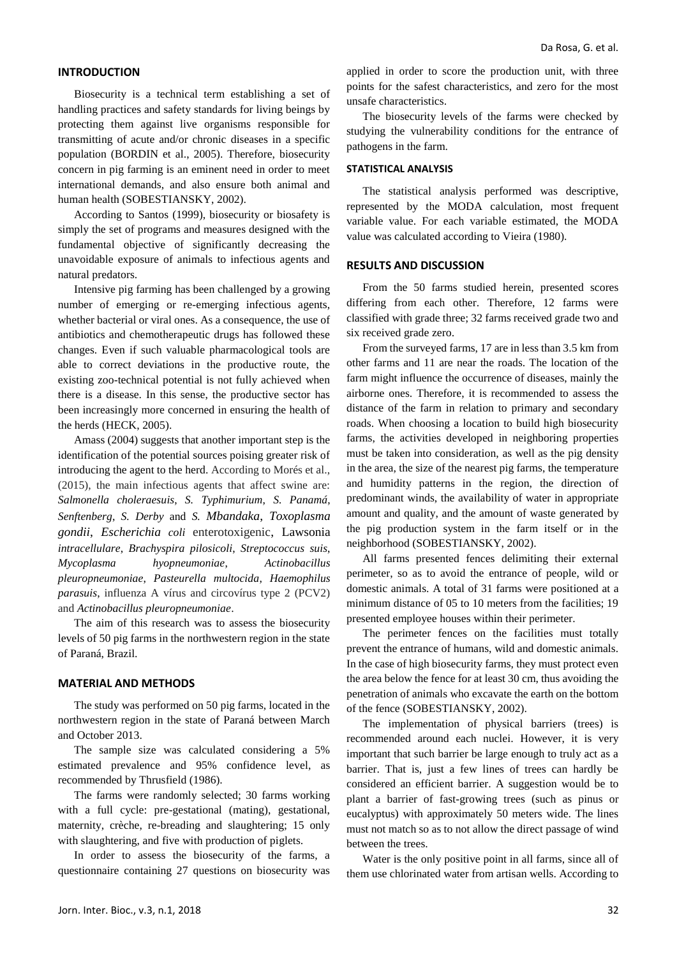#### **INTRODUCTION**

Biosecurity is a technical term establishing a set of handling practices and safety standards for living beings by protecting them against live organisms responsible for transmitting of acute and/or chronic diseases in a specific population (BORDIN et al., 2005). Therefore, biosecurity concern in pig farming is an eminent need in order to meet international demands, and also ensure both animal and human health (SOBESTIANSKY, 2002).

According to Santos (1999), biosecurity or biosafety is simply the set of programs and measures designed with the fundamental objective of significantly decreasing the unavoidable exposure of animals to infectious agents and natural predators.

Intensive pig farming has been challenged by a growing number of emerging or re-emerging infectious agents, whether bacterial or viral ones. As a consequence, the use of antibiotics and chemotherapeutic drugs has followed these changes. Even if such valuable pharmacological tools are able to correct deviations in the productive route, the existing zoo-technical potential is not fully achieved when there is a disease. In this sense, the productive sector has been increasingly more concerned in ensuring the health of the herds (HECK, 2005).

Amass (2004) suggests that another important step is the identification of the potential sources poising greater risk of introducing the agent to the herd. According to Morés et al., (2015), the main infectious agents that affect swine are: *Salmonella choleraesuis*, *S. Typhimurium*, *S. Panamá*, *Senftenberg*, *S. Derby* and *S. Mbandaka*, *Toxoplasma gondii*, *Escherichia coli* enterotoxigenic, Lawsonia *intracellulare*, *Brachyspira pilosicoli*, *Streptococcus suis*, *Mycoplasma hyopneumoniae*, *Actinobacillus pleuropneumoniae*, *Pasteurella multocida*, *Haemophilus parasuis*, influenza A vírus and circovírus type 2 (PCV2) and *Actinobacillus pleuropneumoniae*.

The aim of this research was to assess the biosecurity levels of 50 pig farms in the northwestern region in the state of Paraná, Brazil.

#### **MATERIAL AND METHODS**

The study was performed on 50 pig farms, located in the northwestern region in the state of Paraná between March and October 2013.

The sample size was calculated considering a 5% estimated prevalence and 95% confidence level, as recommended by Thrusfield (1986).

The farms were randomly selected; 30 farms working with a full cycle: pre-gestational (mating), gestational, maternity, crèche, re-breading and slaughtering; 15 only with slaughtering, and five with production of piglets.

In order to assess the biosecurity of the farms, a questionnaire containing 27 questions on biosecurity was applied in order to score the production unit, with three points for the safest characteristics, and zero for the most unsafe characteristics.

The biosecurity levels of the farms were checked by studying the vulnerability conditions for the entrance of pathogens in the farm.

#### **STATISTICAL ANALYSIS**

The statistical analysis performed was descriptive, represented by the MODA calculation, most frequent variable value. For each variable estimated, the MODA value was calculated according to Vieira (1980).

#### **RESULTS AND DISCUSSION**

From the 50 farms studied herein, presented scores differing from each other. Therefore, 12 farms were classified with grade three; 32 farms received grade two and six received grade zero.

From the surveyed farms, 17 are in less than 3.5 km from other farms and 11 are near the roads. The location of the farm might influence the occurrence of diseases, mainly the airborne ones. Therefore, it is recommended to assess the distance of the farm in relation to primary and secondary roads. When choosing a location to build high biosecurity farms, the activities developed in neighboring properties must be taken into consideration, as well as the pig density in the area, the size of the nearest pig farms, the temperature and humidity patterns in the region, the direction of predominant winds, the availability of water in appropriate amount and quality, and the amount of waste generated by the pig production system in the farm itself or in the neighborhood (SOBESTIANSKY, 2002).

All farms presented fences delimiting their external perimeter, so as to avoid the entrance of people, wild or domestic animals. A total of 31 farms were positioned at a minimum distance of 05 to 10 meters from the facilities; 19 presented employee houses within their perimeter.

The perimeter fences on the facilities must totally prevent the entrance of humans, wild and domestic animals. In the case of high biosecurity farms, they must protect even the area below the fence for at least 30 cm, thus avoiding the penetration of animals who excavate the earth on the bottom of the fence (SOBESTIANSKY, 2002).

The implementation of physical barriers (trees) is recommended around each nuclei. However, it is very important that such barrier be large enough to truly act as a barrier. That is, just a few lines of trees can hardly be considered an efficient barrier. A suggestion would be to plant a barrier of fast-growing trees (such as pinus or eucalyptus) with approximately 50 meters wide. The lines must not match so as to not allow the direct passage of wind between the trees.

Water is the only positive point in all farms, since all of them use chlorinated water from artisan wells. According to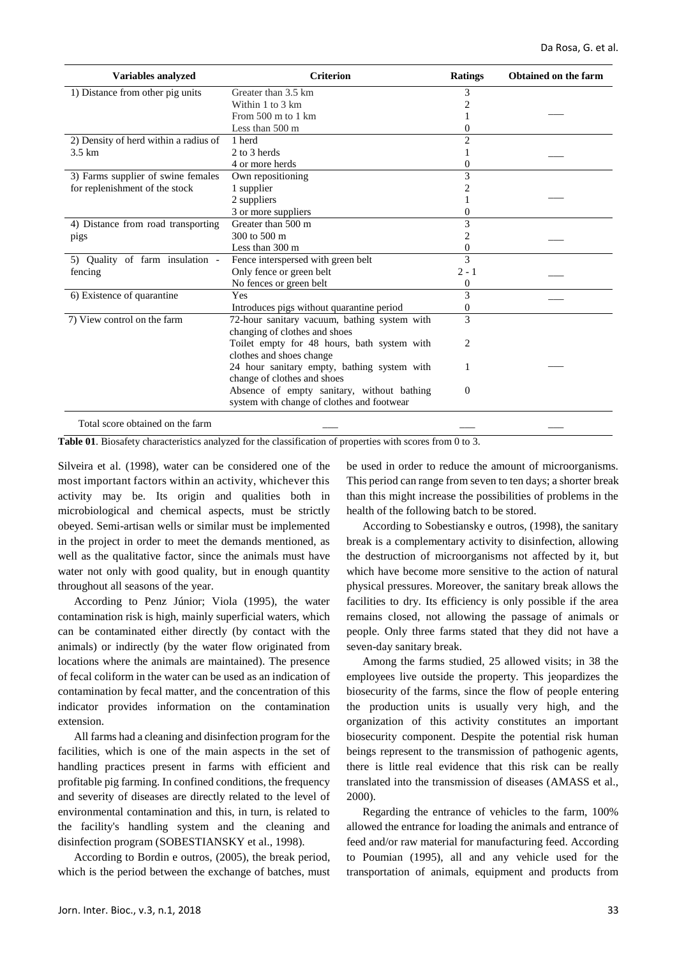| <b>Variables analyzed</b>             | <b>Criterion</b>                             | <b>Ratings</b> | Obtained on the farm |
|---------------------------------------|----------------------------------------------|----------------|----------------------|
| 1) Distance from other pig units      | Greater than 3.5 km                          | 3              |                      |
|                                       | Within 1 to 3 km                             | 2              |                      |
|                                       | From $500$ m to 1 km                         |                |                      |
|                                       | Less than 500 m                              | 0              |                      |
| 2) Density of herd within a radius of | 1 herd                                       | $\overline{2}$ |                      |
| 3.5 km                                | 2 to 3 herds                                 |                |                      |
|                                       | 4 or more herds                              | 0              |                      |
| 3) Farms supplier of swine females    | Own repositioning                            | 3              |                      |
| for replenishment of the stock        | 1 supplier                                   | 2              |                      |
|                                       | 2 suppliers                                  |                |                      |
|                                       | 3 or more suppliers                          | 0              |                      |
| 4) Distance from road transporting    | Greater than 500 m                           | 3              |                      |
| pigs                                  | 300 to 500 m                                 | 2              |                      |
|                                       | Less than 300 m                              | $\Omega$       |                      |
| 5) Quality of farm insulation -       | Fence interspersed with green belt           | 3              |                      |
| fencing                               | Only fence or green belt                     | $2 - 1$        |                      |
|                                       | No fences or green belt                      | $\Omega$       |                      |
| 6) Existence of quarantine            | Yes                                          | 3              |                      |
|                                       | Introduces pigs without quarantine period    | 0              |                      |
| 7) View control on the farm           | 72-hour sanitary vacuum, bathing system with | 3              |                      |
|                                       | changing of clothes and shoes                |                |                      |
|                                       | Toilet empty for 48 hours, bath system with  | 2              |                      |
|                                       | clothes and shoes change                     |                |                      |
|                                       | 24 hour sanitary empty, bathing system with  |                |                      |
|                                       | change of clothes and shoes                  |                |                      |
|                                       | Absence of empty sanitary, without bathing   | $\theta$       |                      |
|                                       | system with change of clothes and footwear   |                |                      |
| Total score obtained on the farm      |                                              |                |                      |

**Table 01**. Biosafety characteristics analyzed for the classification of properties with scores from 0 to 3.

Silveira et al. (1998), water can be considered one of the most important factors within an activity, whichever this activity may be. Its origin and qualities both in microbiological and chemical aspects, must be strictly obeyed. Semi-artisan wells or similar must be implemented in the project in order to meet the demands mentioned, as well as the qualitative factor, since the animals must have water not only with good quality, but in enough quantity throughout all seasons of the year.

According to Penz Júnior; Viola (1995), the water contamination risk is high, mainly superficial waters, which can be contaminated either directly (by contact with the animals) or indirectly (by the water flow originated from locations where the animals are maintained). The presence of fecal coliform in the water can be used as an indication of contamination by fecal matter, and the concentration of this indicator provides information on the contamination extension.

All farms had a cleaning and disinfection program for the facilities, which is one of the main aspects in the set of handling practices present in farms with efficient and profitable pig farming. In confined conditions, the frequency and severity of diseases are directly related to the level of environmental contamination and this, in turn, is related to the facility's handling system and the cleaning and disinfection program (SOBESTIANSKY et al., 1998).

According to Bordin e outros*,* (2005), the break period, which is the period between the exchange of batches, must

be used in order to reduce the amount of microorganisms. This period can range from seven to ten days; a shorter break than this might increase the possibilities of problems in the health of the following batch to be stored.

According to Sobestiansky e outros, (1998), the sanitary break is a complementary activity to disinfection, allowing the destruction of microorganisms not affected by it, but which have become more sensitive to the action of natural physical pressures. Moreover, the sanitary break allows the facilities to dry. Its efficiency is only possible if the area remains closed, not allowing the passage of animals or people. Only three farms stated that they did not have a seven-day sanitary break.

Among the farms studied, 25 allowed visits; in 38 the employees live outside the property. This jeopardizes the biosecurity of the farms, since the flow of people entering the production units is usually very high, and the organization of this activity constitutes an important biosecurity component. Despite the potential risk human beings represent to the transmission of pathogenic agents, there is little real evidence that this risk can be really translated into the transmission of diseases (AMASS et al., 2000).

Regarding the entrance of vehicles to the farm, 100% allowed the entrance for loading the animals and entrance of feed and/or raw material for manufacturing feed. According to Poumian (1995), all and any vehicle used for the transportation of animals, equipment and products from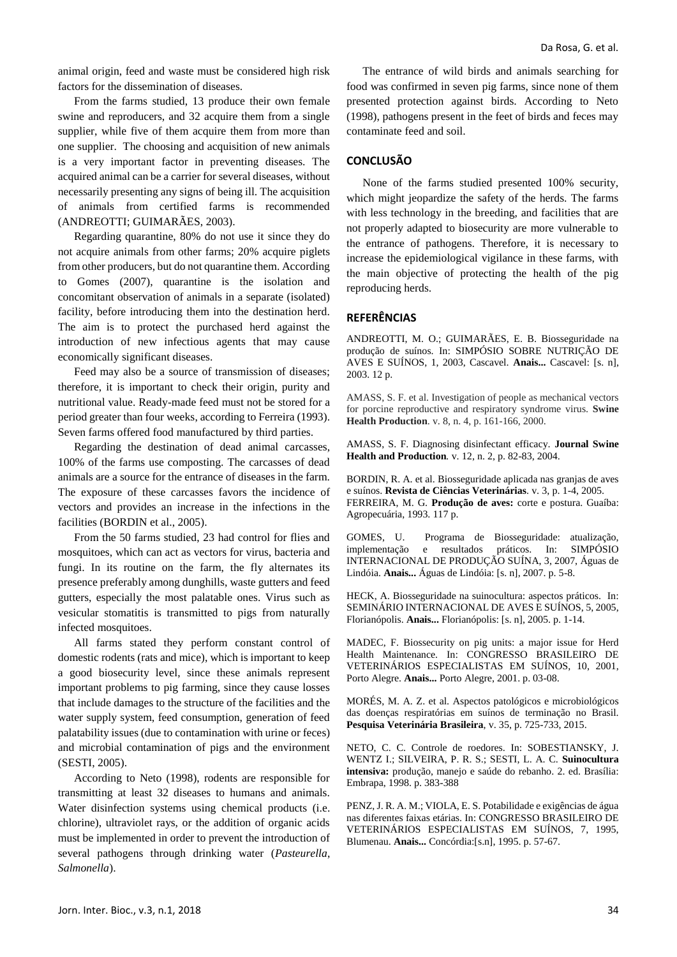animal origin, feed and waste must be considered high risk factors for the dissemination of diseases.

From the farms studied, 13 produce their own female swine and reproducers, and 32 acquire them from a single supplier, while five of them acquire them from more than one supplier. The choosing and acquisition of new animals is a very important factor in preventing diseases. The acquired animal can be a carrier for several diseases, without necessarily presenting any signs of being ill. The acquisition of animals from certified farms is recommended (ANDREOTTI; GUIMARÃES, 2003).

Regarding quarantine, 80% do not use it since they do not acquire animals from other farms; 20% acquire piglets from other producers, but do not quarantine them. According to Gomes (2007), quarantine is the isolation and concomitant observation of animals in a separate (isolated) facility, before introducing them into the destination herd. The aim is to protect the purchased herd against the introduction of new infectious agents that may cause economically significant diseases.

Feed may also be a source of transmission of diseases; therefore, it is important to check their origin, purity and nutritional value. Ready-made feed must not be stored for a period greater than four weeks, according to Ferreira (1993). Seven farms offered food manufactured by third parties.

Regarding the destination of dead animal carcasses, 100% of the farms use composting. The carcasses of dead animals are a source for the entrance of diseases in the farm. The exposure of these carcasses favors the incidence of vectors and provides an increase in the infections in the facilities (BORDIN et al., 2005).

From the 50 farms studied, 23 had control for flies and mosquitoes, which can act as vectors for virus, bacteria and fungi. In its routine on the farm, the fly alternates its presence preferably among dunghills, waste gutters and feed gutters, especially the most palatable ones. Virus such as vesicular stomatitis is transmitted to pigs from naturally infected mosquitoes.

All farms stated they perform constant control of domestic rodents (rats and mice), which is important to keep a good biosecurity level, since these animals represent important problems to pig farming, since they cause losses that include damages to the structure of the facilities and the water supply system, feed consumption, generation of feed palatability issues (due to contamination with urine or feces) and microbial contamination of pigs and the environment (SESTI, 2005).

According to Neto (1998), rodents are responsible for transmitting at least 32 diseases to humans and animals. Water disinfection systems using chemical products (i.e. chlorine), ultraviolet rays, or the addition of organic acids must be implemented in order to prevent the introduction of several pathogens through drinking water (*Pasteurella*, *Salmonella*).

The entrance of wild birds and animals searching for food was confirmed in seven pig farms, since none of them presented protection against birds. According to Neto (1998), pathogens present in the feet of birds and feces may contaminate feed and soil.

# **CONCLUSÃO**

None of the farms studied presented 100% security, which might jeopardize the safety of the herds. The farms with less technology in the breeding, and facilities that are not properly adapted to biosecurity are more vulnerable to the entrance of pathogens. Therefore, it is necessary to increase the epidemiological vigilance in these farms, with the main objective of protecting the health of the pig reproducing herds.

### **REFERÊNCIAS**

ANDREOTTI, M. O.; GUIMARÃES, E. B. Biosseguridade na produção de suínos. In: SIMPÓSIO SOBRE NUTRIÇÃO DE AVES E SUÍNOS, 1, 2003, Cascavel. **Anais...** Cascavel: [s. n], 2003. 12 p.

AMASS, S. F. et al. Investigation of people as mechanical vectors for porcine reproductive and respiratory syndrome virus. **Swine Health Production**. v. 8, n. 4, p. 161-166, 2000.

AMASS, S. F. Diagnosing disinfectant efficacy. **Journal Swine Health and Production***.* v. 12, n. 2, p. 82-83, 2004.

BORDIN, R. A. et al. Biosseguridade aplicada nas granjas de aves e suínos. **Revista de Ciências Veterinárias**. v. 3, p. 1-4, 2005. FERREIRA, M. G. **Produção de aves:** corte e postura. Guaíba: Agropecuária, 1993. 117 p.

GOMES, U. Programa de Biosseguridade: atualização, implementação e resultados práticos. In: SIMPÓSIO INTERNACIONAL DE PRODUÇÃO SUÍNA, 3, 2007, Águas de Lindóia. **Anais...** Águas de Lindóia: [s. n], 2007. p. 5-8.

HECK, A. Biosseguridade na suinocultura: aspectos práticos. In: SEMINÁRIO INTERNACIONAL DE AVES E SUÍNOS, 5, 2005, Florianópolis. **Anais...** Florianópolis: [s. n], 2005. p. 1-14.

MADEC, F. Biossecurity on pig units: a major issue for Herd Health Maintenance. In: CONGRESSO BRASILEIRO DE VETERINÁRIOS ESPECIALISTAS EM SUÍNOS, 10, 2001, Porto Alegre. **Anais...** Porto Alegre, 2001. p. 03-08.

MORÉS, M. A. Z. et al. Aspectos patológicos e microbiológicos das doenças respiratórias em suínos de terminação no Brasil. **Pesquisa Veterinária Brasileira**, v. 35, p. 725-733, 2015.

NETO, C. C. Controle de roedores. In: SOBESTIANSKY, J. WENTZ I.; SILVEIRA, P. R. S.; SESTI, L. A. C. **Suinocultura intensiva:** produção, manejo e saúde do rebanho. 2. ed. Brasília: Embrapa, 1998. p. 383-388

PENZ, J. R. A. M.; VIOLA, E. S. Potabilidade e exigências de água nas diferentes faixas etárias. In: CONGRESSO BRASILEIRO DE VETERINÁRIOS ESPECIALISTAS EM SUÍNOS, 7, 1995, Blumenau. **Anais...** Concórdia:[s.n], 1995. p. 57-67.